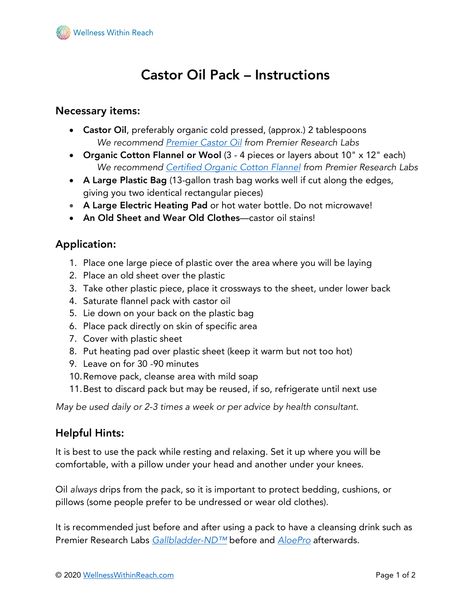

# Castor Oil Pack – Instructions

#### Necessary items:

- Castor Oil, preferably organic cold pressed, (approx.) 2 tablespoons *We recommend Premier Castor Oil from Premier Research Labs*
- Organic Cotton Flannel or Wool (3 4 pieces or layers about 10" x 12" each) *We recommend Certified Organic Cotton Flannel from Premier Research Labs*
- A Large Plastic Bag (13-gallon trash bag works well if cut along the edges, giving you two identical rectangular pieces)
- A Large Electric Heating Pad or hot water bottle. Do not microwave!
- An Old Sheet and Wear Old Clothes—castor oil stains!

## Application:

- 1. Place one large piece of plastic over the area where you will be laying
- 2. Place an old sheet over the plastic
- 3. Take other plastic piece, place it crossways to the sheet, under lower back
- 4. Saturate flannel pack with castor oil
- 5. Lie down on your back on the plastic bag
- 6. Place pack directly on skin of specific area
- 7. Cover with plastic sheet
- 8. Put heating pad over plastic sheet (keep it warm but not too hot)
- 9. Leave on for 30 -90 minutes
- 10.Remove pack, cleanse area with mild soap
- 11.Best to discard pack but may be reused, if so, refrigerate until next use

*May be used daily or 2-3 times a week or per advice by health consultant*.

#### Helpful Hints:

It is best to use the pack while resting and relaxing. Set it up where you will be comfortable, with a pillow under your head and another under your knees.

Oil *always* drips from the pack, so it is important to protect bedding, cushions, or pillows (some people prefer to be undressed or wear old clothes).

It is recommended just before and after using a pack to have a cleansing drink such as Premier Research Labs *Gallbladder-ND™* before and *AloePro* afterwards.